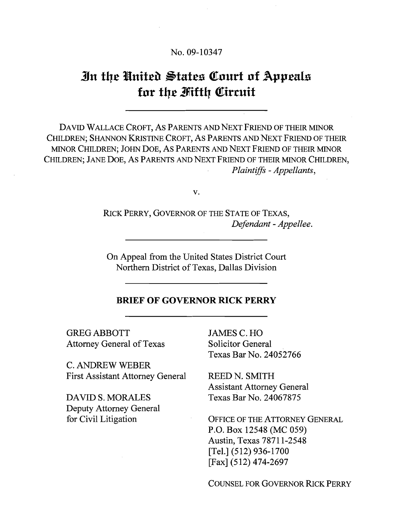### No. 09-10347

# **%n fbe %Inifelk Pfafea (Eourt of Appeals**  for the Mifth Circuit

DAVID WALLACE CROFT, AS PARENTS AND NEXT FRIEND OF THEIR MINOR CHILDREN; SHANNON KRISTINE CROFT, AS PARENTS AND NEXT FRIEND OF THEIR MINOR CHILDREN; JOHN DOE, AS PARENTS AND NEXT FRIEND OF THEIR MINOR CHILDREN; JANE DOE, AS PARENTS AND NEXT FRIEND OF THEIR MINOR CHILDREN, Plaintiffs - Appellants,

V.

RICK PERRY, GOVERNOR OF THE STATE OF TEXAS, Defendant - Appellee.

On Appeal from the United States District Court Northern District of Texas, Dallas Division

### **BRIEF OF GOVERNOR RICK PERRY**

GREG ABBOTT JAMES C. HO Attorney General of Texas Solicitor General

C. ANDREW WEBER First Assistant Attorney General REED N. SMITH

Deputy Attorney General

Texas Bar No. 24052766

Assistant Attorney General DAVID S. MORALES Texas Bar No. 24067875

for Civil Litigation OFFICE OF THE ATTORNEY GENERAL P.O. Box 12548 (MC 059) Austin, Texas 787 1 1-2548 [Tel.] (512) 936-1700 [Fax] (512) 474-2697

COUNSEL FOR GOVERNOR RICK PERRY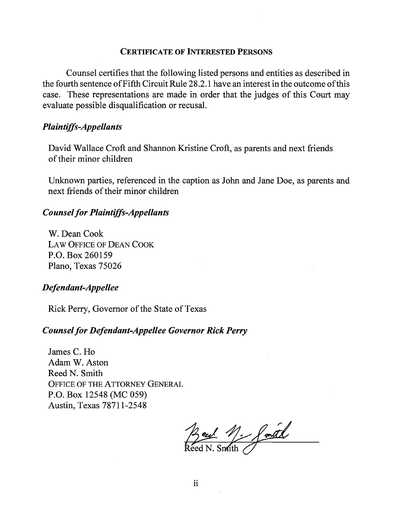### **CERTIFICATE OF INTERESTED PERSONS**

Counsel certifies that the following listed persons and entities as described in the fourth sentence of Fifth Circuit Rule 28.2.1 have an interest in the outcome of this case. These representations are made in order that the judges of this Court may evaluate possible disqualification or recusal.

# *Plaintiffs-Appellants*

David Wallace Croft and Shannon Kristine Croft, as parents and next friends of their minor children

Unknown parties, referenced in the caption as John and Jane Doe, as parents and next fiiends of their minor children

### *Counsel for Plaintiffs-Appellants*

W. Dean Cook LAW OFFICE OF DEAN COOK P.O. Box 260159 Plano, Texas 75026

### *Defendant-Appellee*

Rick Perry, Governor of the State of Texas

### *Counsel for Defendant-Appellee Governor Rick Perry*

James C. Ho Adam W. Aston Reed N. Smith OFFICE OF THE ATTORNEY GENERAL P.O. Box 12548 (MC 059) Austin, Texas 787 1 1-2548

Beul M. Smith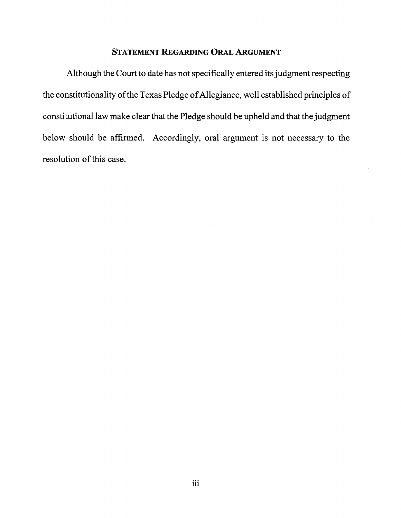# **STATEMENT REGARDING ORAL ARGUMENT**

Although the Court to date has not specifically entered its judgment respecting the constitutionality of the Texas Pledge of Allegiance, well established principles of constitutional law make clear that the Pledge should be upheld and that the judgment below should be affirmed. Accordingly, oral argument is not necessary to the resolution of this case.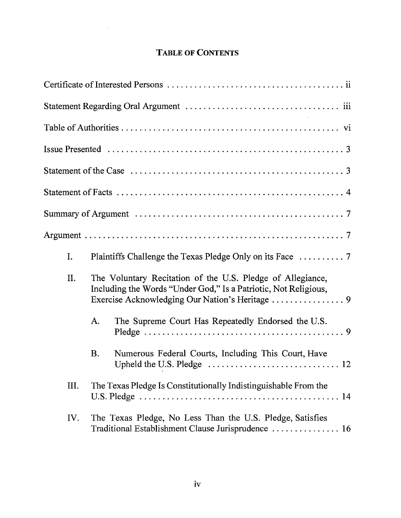# **TABLE OF CONTENTS**

 $\mathcal{L}^{\text{max}}_{\text{max}}$ 

| I.  |                                                                                                                               |
|-----|-------------------------------------------------------------------------------------------------------------------------------|
| II. | The Voluntary Recitation of the U.S. Pledge of Allegiance,<br>Including the Words "Under God," Is a Patriotic, Not Religious, |
|     | The Supreme Court Has Repeatedly Endorsed the U.S.<br>A.                                                                      |
|     | Numerous Federal Courts, Including This Court, Have<br>Β.                                                                     |
| Ш.  | The Texas Pledge Is Constitutionally Indistinguishable From the                                                               |
| IV. | The Texas Pledge, No Less Than the U.S. Pledge, Satisfies<br>Traditional Establishment Clause Jurisprudence  16               |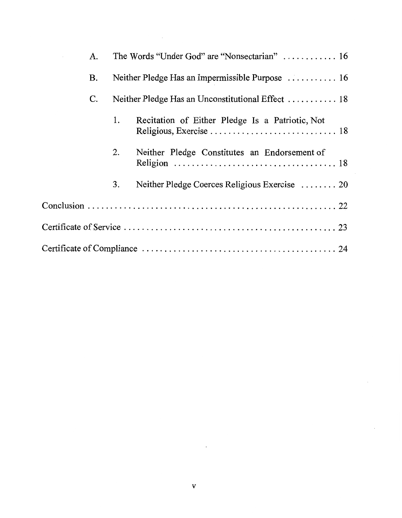| A. |    |                                                 |
|----|----|-------------------------------------------------|
| Β. |    | Neither Pledge Has an Impermissible Purpose  16 |
| C. |    |                                                 |
|    | 1. | Recitation of Either Pledge Is a Patriotic, Not |
|    | 2. | Neither Pledge Constitutes an Endorsement of    |
|    | 3. | Neither Pledge Coerces Religious Exercise  20   |
|    |    |                                                 |
|    |    |                                                 |
|    |    |                                                 |

 $\label{eq:2.1} \frac{1}{\sqrt{2}}\int_{\mathbb{R}^3}\frac{1}{\sqrt{2}}\left(\frac{1}{\sqrt{2}}\right)^2\frac{1}{\sqrt{2}}\left(\frac{1}{\sqrt{2}}\right)^2\frac{1}{\sqrt{2}}\left(\frac{1}{\sqrt{2}}\right)^2\frac{1}{\sqrt{2}}\left(\frac{1}{\sqrt{2}}\right)^2\frac{1}{\sqrt{2}}\left(\frac{1}{\sqrt{2}}\right)^2\frac{1}{\sqrt{2}}\frac{1}{\sqrt{2}}\frac{1}{\sqrt{2}}\frac{1}{\sqrt{2}}\frac{1}{\sqrt{2}}\frac{1}{\sqrt{2}}$ 

 $\label{eq:2.1} \frac{1}{\sqrt{2}}\int_{\mathbb{R}^3}\frac{1}{\sqrt{2}}\left(\frac{1}{\sqrt{2}}\right)^2\frac{1}{\sqrt{2}}\left(\frac{1}{\sqrt{2}}\right)^2\frac{1}{\sqrt{2}}\left(\frac{1}{\sqrt{2}}\right)^2\frac{1}{\sqrt{2}}\left(\frac{1}{\sqrt{2}}\right)^2.$ 

 $\mathcal{L}^{\text{max}}_{\text{max}}$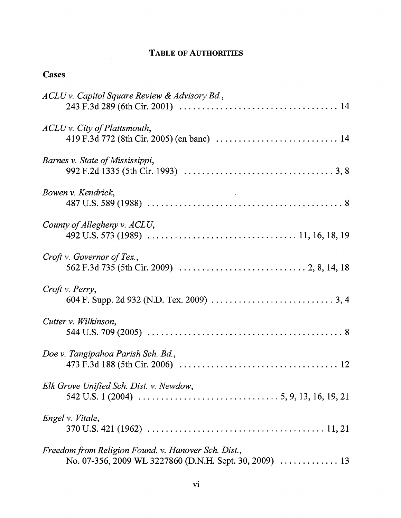# **TABLE OF AUTHORITIES**

# **Cases**

 $\sim$ 

 $\sim$ 

 $\sim$ 

| ACLU v. Capitol Square Review & Advisory Bd.,                                                                                               |
|---------------------------------------------------------------------------------------------------------------------------------------------|
| ACLU v. City of Plattsmouth,                                                                                                                |
| Barnes v. State of Mississippi,                                                                                                             |
| Bowen v. Kendrick,                                                                                                                          |
| County of Allegheny v. ACLU,                                                                                                                |
| Croft v. Governor of Tex.,                                                                                                                  |
| Croft v. Perry,                                                                                                                             |
| Cutter v. Wilkinson,                                                                                                                        |
| Doe v. Tangipahoa Parish Sch. Bd.,                                                                                                          |
| Elk Grove Unified Sch. Dist. v. Newdow,                                                                                                     |
| Engel v. Vitale,                                                                                                                            |
| Freedom from Religion Found. v. Hanover Sch. Dist.,<br>No. 07-356, 2009 WL 3227860 (D.N.H. Sept. 30, 2009) $\ldots \ldots \ldots \ldots$ 13 |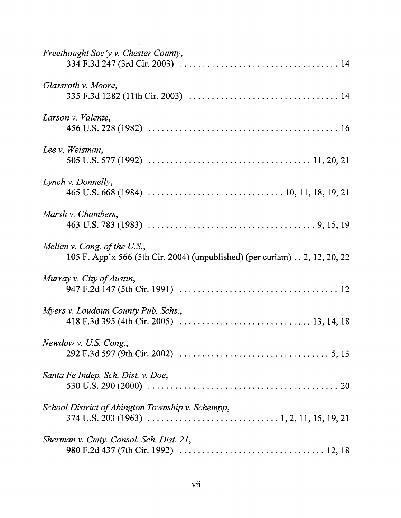| Freethought Soc'y v. Chester County,                                                                      |
|-----------------------------------------------------------------------------------------------------------|
| Glassroth v. Moore,                                                                                       |
| Larson v. Valente,                                                                                        |
| Lee v. Weisman,                                                                                           |
| Lynch v. Donnelly,                                                                                        |
| Marsh v. Chambers,                                                                                        |
| Mellen v. Cong. of the U.S.,<br>105 F. App'x 566 (5th Cir. 2004) (unpublished) (per curiam) 2, 12, 20, 22 |
| Murray v. City of Austin,                                                                                 |
| Myers v. Loudoun County Pub. Schs.,                                                                       |
| Newdow v. U.S. Cong.,                                                                                     |
| Santa Fe Indep. Sch. Dist. v. Doe,                                                                        |
| School District of Abington Township v. Schempp,                                                          |
| Sherman v. Cmty. Consol. Sch. Dist. 21,                                                                   |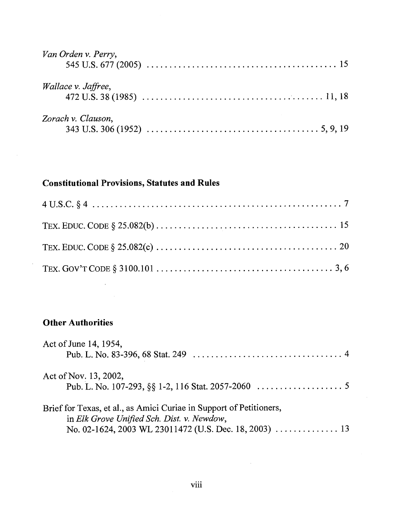| Van Orden v. Perry, |  |
|---------------------|--|
| Wallace v. Jaffree, |  |
| Zorach v. Clauson,  |  |

# **Constitutional Provisions, Statutes and Rules**

# **Other Authorities**

 $\mathcal{L}^{\text{max}}_{\text{max}}$  and  $\mathcal{L}^{\text{max}}_{\text{max}}$ 

 $\hat{\mathcal{A}}$ 

| Act of June 14, 1954,                                                                                             |
|-------------------------------------------------------------------------------------------------------------------|
| Act of Nov. 13, 2002,                                                                                             |
| Brief for Texas, et al., as Amici Curiae in Support of Petitioners,<br>in Elk Grove Unified Sch. Dist. v. Newdow, |

 $\sim 10^{11}$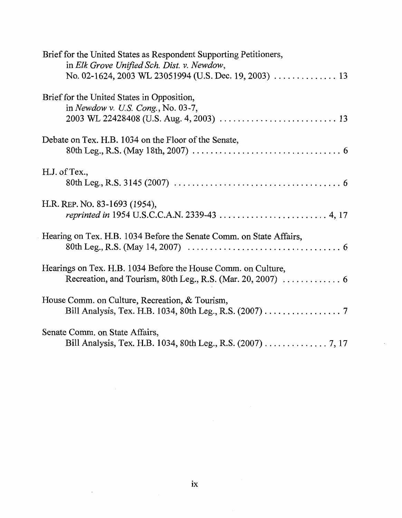| Brief for the United States as Respondent Supporting Petitioners,<br>in Elk Grove Unified Sch. Dist. v. Newdow,              |
|------------------------------------------------------------------------------------------------------------------------------|
|                                                                                                                              |
| Brief for the United States in Opposition,<br>in Newdow v. U.S. Cong., No. 03-7,                                             |
| Debate on Tex. H.B. 1034 on the Floor of the Senate,                                                                         |
| H.J. of Tex.,                                                                                                                |
| H.R. REP. NO. 83-1693 (1954),                                                                                                |
| Hearing on Tex. H.B. 1034 Before the Senate Comm. on State Affairs,                                                          |
| Hearings on Tex. H.B. 1034 Before the House Comm. on Culture,<br>Recreation, and Tourism, 80th Leg., R.S. (Mar. 20, 2007)  6 |
| House Comm. on Culture, Recreation, & Tourism,<br>Bill Analysis, Tex. H.B. 1034, 80th Leg., R.S. (2007) 7                    |
| Senate Comm. on State Affairs,<br>Bill Analysis, Tex. H.B. 1034, 80th Leg., R.S. (2007) 7, 17                                |

 $\mathcal{L}^{\text{max}}$ 

 $\bar{z}$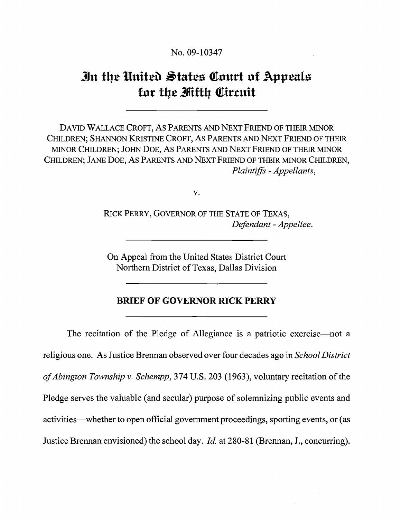No. 09-10347

# **%n the Nnitea Btates Qolrrt of Appeals**  for the *Fiifth* Circuit

DAVID WALLACE CROFT, AS PARENTS AND NEXT FRIEND OF THEIR MINOR CHILDREN; SHANNON KRISTINE CROFT, AS PARENTS AND NEXT FRIEND OF THEIR MINOR CHILDREN; JOHN DOE, AS PARENTS AND NEXT FRIEND OF THEIR MINOR CHILDREN; JANE DOE, AS PARENTS AND NEXT FRIEND OF THEIR MINOR CHILDREN, Plaintiffs - Appellants,

V.

RICK PERRY, GOVERNOR OF THE STATE OF TEXAS, Defendant - Appellee.

On Appeal from the United States District Court Northern District of Texas, Dallas Division

### **BRIEF OF GOVERNOR RICK PERRY**

The recitation of the Pledge of Allegiance is a patriotic exercise—not a religious one. As Justice Brennan observed over four decades ago in School District ofAbington Township v. Schempp, 374 U.S. 203 (1963), voluntary recitation of the Pledge serves the valuable (and secular) purpose of solemnizing public events and activities—whether to open official government proceedings, sporting events, or (as Justice Brennan envisioned) the school day. *Id.* at 280-81 (Brennan, J., concurring).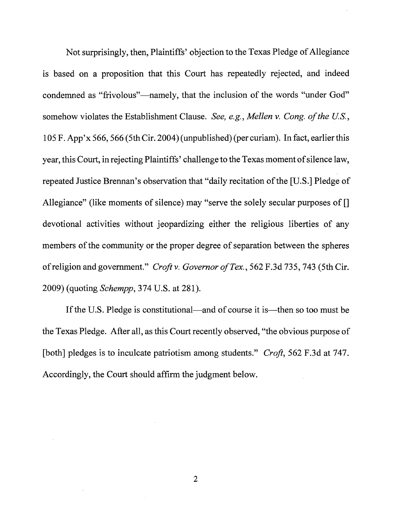Not surprisingly, then, Plaintiffs' objection to the Texas Pledge of Allegiance is based on a proposition that this Court has repeatedly rejected, and indeed condemned as "frivolous"—namely, that the inclusion of the words "under God" somehow violates the Establishment Clause. See, e.g., Mellen v. Cong. of the U.S., 105 F. App'x 566,566 (5th Cir. 2004) (unpublished) (per curiam). In fact, earlier this year, this Court, in rejecting Plaintiffs' challenge to the Texas moment of silence law, repeated Justice Brennan's observation that "daily recitation of the [U.S.] Pledge of Allegiance" (like moments of silence) may "serve the solely secular purposes of [] devotional activities without jeopardizing either the religious liberties of any members of the community or the proper degree of separation between the spheres of religion and government." Croft v. Governor of Tex., 562 F.3d 735,743 (5th Cir. 2009) (quoting *Schempp*, 374 U.S. at 281).

If the U.S. Pledge is constitutional—and of course it is—then so too must be the Texas Pledge. After all, as this Court recently observed, "the obvious purpose of [both] pledges is to inculcate patriotism among students." Croft, 562 F.3d at 747. Accordingly, the Court should affirm the judgment below.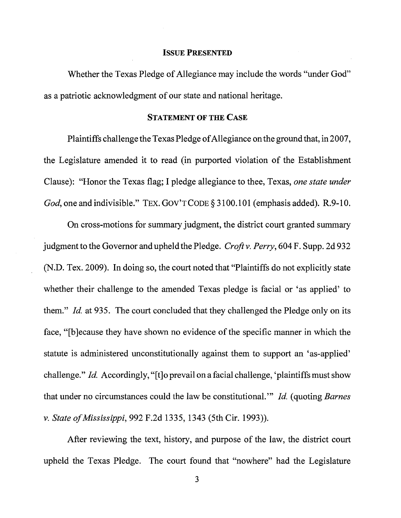#### **ISSUE PRESENTED**

Whether the Texas Pledge of Allegiance may include the words "under God" as a patriotic acknowledgment of our state and national heritage.

### **STATEMENT OF THE CASE**

Plaintiffs challenge the Texas Pledge of Allegiance on the ground that, in 2007, the Legislature amended it to read (in purported violation of the Establishment Clause): "Honor the Texas flag; I pledge allegiance to thee, Texas, one state under God, one and indivisible." TEX. GOV'T CODE § 3100.101 (emphasis added). R.9-10.

On cross-motions for summary judgment, the district court granted summary judgment to the Governor and upheld the Pledge. Croft v. Perry, 604 F. Supp. 2d 932 (N.D. Tex. 2009). In doing so, the court noted that "Plaintiffs do not explicitly state whether their challenge to the amended Texas pledge is facial or 'as applied' to them." Id. at 935. The court concluded that they challenged the Pledge only on its face, "[b]ecause they have shown no evidence of the specific manner in which the statute is administered unconstitutionally against them to support an 'as-applied' challenge." Id. Accordingly, "[t]o prevail on a facial challenge, 'plaintiffs must show that under no circumstances could the law be constitutional."' Id. (quoting Barnes v. State of Mississippi, 992 F.2d 1335, 1343 (5th Cir. 1993)).

After reviewing the text, history, and purpose of the law, the district court upheld the Texas Pledge. The court found that "nowhere" had the Legislature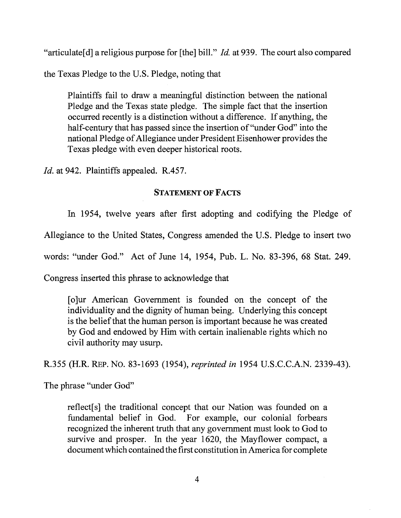"articulate[d] a religious purpose for [the] bill." *Id.* at 939. The court also compared

the Texas Pledge to the U.S. Pledge, noting that

Plaintiffs fail to draw a meaningful distinction between the national Pledge and the Texas state pledge. The simple fact that the insertion occurred recently is a distinction without a difference. If anything, the half-century that has passed since the insertion of "under God" into the national Pledge of Allegiance under President Eisenhower provides the Texas pledge with even deeper historical roots.

*Id.* at 942. Plaintiffs appealed. R.457.

# **STATEMENT OF FACTS**

In 1954, twelve years after first adopting and codifying the Pledge of

Allegiance to the United States, Congress amended the U.S. Pledge to insert two

words: "under God." Act of June 14, 1954, Pub. L. No. 83-396, 68 Stat. 249.

Congress inserted this phrase to acknowledge that

[olur American Government is founded on the concept of the individuality and the dignity of human being. Underlying this concept is the belief that the human person is important because he was created by God and endowed by Him with certain inalienable rights which no civil authority may usurp.

R.355 (H.R. REP. NO. 83-1693 (1954), *reprinted in* 1954 U.S.C.C.A.N. 2339-43).

The phrase "under God"

reflect[s] the traditional concept that our Nation was founded on a fundamental belief in God. For example, our colonial forbears recognized the inherent truth that any government must look to God to survive and prosper. In the year 1620, the Mayflower compact, a document which contained the first constitution in America for complete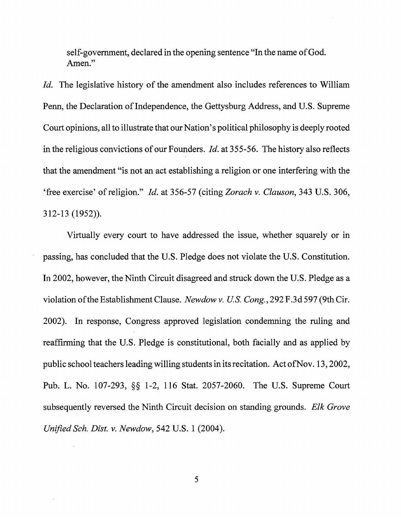self-government, declared in the opening sentence "In the name of God. Amen."

Id. The legislative history of the amendment also includes references to William Penn, the Declaration of Independence, the Gettysburg Address, and U.S. Supreme Court opinions, all to illustrate that our Nation's political philosophy is deeply rooted in the religious convictions of our Founders. *Id.* at  $355-56$ . The history also reflects that the amendment "is not an act establishing a religion or one interfering with the 'free exercise' of religion." Id. at 356-57 (citing Zorach v. Clauson, 343 U.S. 306, 3 12-13 (1952)).

Virtually every court to have addressed the issue, whether squarely or in passing, has concluded that the U.S. Pledge does not violate the U.S. Constitution. In 2002, however, the Ninth Circuit disagreed and struck down the U.S. Pledge as a violation ofthe Establishment Clause. Newdow v. US. Cong., 292 F.3d 597 (9th Cir. 2002). In response, Congress approved legislation condemning the ruling and reaffirming that the U.S. Pledge is constitutional, both facially and as applied by public school teachers leading willing students in its recitation. Act of Nov. 13, 2002, Pub. L. No. 107-293, *\$5* 1-2, 116 Stat. 2057-2060. The U.S. Supreme Court subsequently reversed the Ninth Circuit decision on standing grounds. Elk Grove Unified Sch. Dist. v. Newdow, 542 U.S.  $1$  (2004).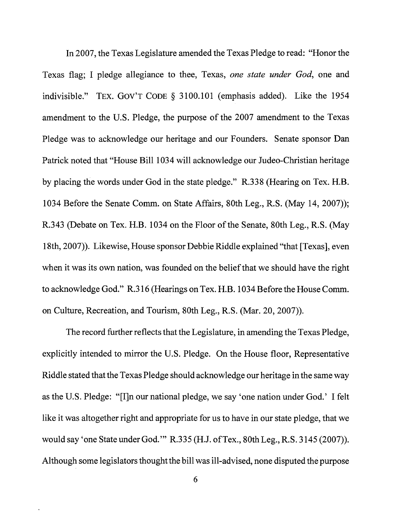In 2007, the Texas Legislature amended the Texas Pledge to read: "Honor the Texas flag; I pledge allegiance to thee, Texas, one state under God, one and indivisible." TEX. GOV'T CODE § 3100.101 (emphasis added). Like the 1954 amendment to the U.S. Pledge, the purpose of the 2007 amendment to the Texas Pledge was to acknowledge our heritage and our Founders. Senate sponsor Dan Patrick noted that "House Bill 1034 will acknowledge our Judeo-Christian heritage by placing the words under God in the state pledge." R.338 (Hearing on Tex. H.B. 1034 Before the Senate Comm. on State Affairs, 80th Leg., R.S. (May 14, 2007)); R.343 (Debate on Tex. H.B. 1034 on the Floor of the Senate, 80th Leg., R.S. (May 1 8th, 2007)). Likewise, House sponsor Debbie Riddle explained "that [Texas], even when it was its own nation, was founded on the belief that we should have the right to acknowledge God." R.3 16 (Hearings on Tex. H.B. 1034 Before the House Comm. on Culture, Recreation, and Tourism, 80th Leg., R.S. (Mar. 20,2007)).

The record further reflects that the Legislature, in amending the Texas Pledge, explicitly intended to mirror the U.S. Pledge. On the House floor, Representative Riddle stated that the Texas Pledge should acknowledge our heritage in the same way as the U.S. Pledge: "[Iln our national pledge, we say 'one nation under God.' I felt like it was altogether right and appropriate for us to have in our state pledge, that we would say 'one State under God."' R.335 (H.J. ofTex., 80th Leg., R.S. 3 145 (2007)). Although some legislators thought the bill was ill-advised, none disputed the purpose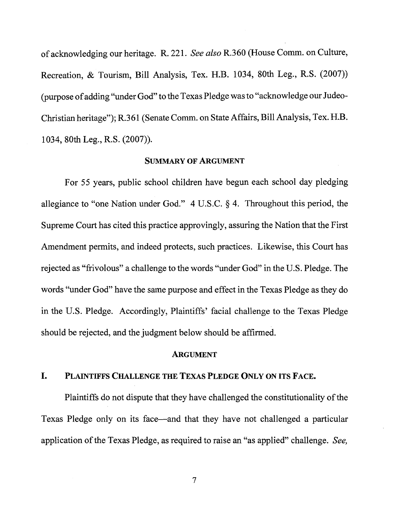of acknowledging our heritage. R. 221. **See also** R.360 (House Comm. on Culture, Recreation, & Tourism, Bill Analysis, Tex. H.B. 1034, 80th Leg., R.S. (2007)) (purpose of adding "under God" to the Texas Pledge was to "acknowledge our Judeo-Christian heritage"); R.361 (Senate Comm. on State Affairs, Bill Analysis, Tex. H.B. 1034, 80th Leg., R.S. (2007)).

### **SUMMARY OF ARGUMENT**

For 55 years, public school children have begun each school day pledging allegiance to "one Nation under God."  $4$  U.S.C. § 4. Throughout this period, the Supreme Court has cited this practice approvingly, assuring the Nation that the First Amendment permits, and indeed protects, such practices. Likewise, this Court has rejected as "frivolous" a challenge to the words "under God" in the U.S. Pledge. The words "under God" have the same purpose and effect in the Texas Pledge as they do in the U.S. Pledge. Accordingly, Plaintiffs' facial challenge to the Texas Pledge should be rejected, and the judgment below should be affirmed.

#### **ARGUMENT**

### **I. PLAINTIFFS CHALLENGE THE TEXAS PLEDGE ONLY ON ITS FACE.**

Plaintiffs do not dispute that they have challenged the constitutionality of the Texas Pledge only on its face—and that they have not challenged a particular application of the Texas Pledge, as required to raise an "as applied" challenge. **See,**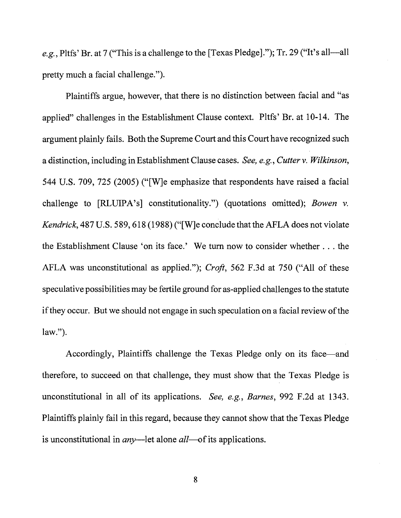e.g., Pltfs' Br. at 7 ("This is a challenge to the [Texas Pledge]."); Tr. 29 ("It's all—all pretty much a facial challenge.").

Plaintiffs argue, however, that there is no distinction between facial and "as applied" challenges in the Establishment Clause context. Pltfs' Br. at 10-14. The argument plainly fails. Both the Supreme Court and this Court have recognized such a distinction, including in Establishment Clause cases. See, e.g., Cutter v. Wilkinson, 544 U.S. 709, 725 (2005) ("[Wle emphasize that respondents have raised a facial challenge to [RLLJIPA's] constitutionality.") (quotations omitted); Bowen v. Kendrick, 487 U.S. 589, 618 (1988) ("[W]e conclude that the AFLA does not violate the Establishment Clause 'on its face.' We turn now to consider whether . . . the AFLA was unconstitutional as applied."); Croft, 562 F.3d at 750 ("All of these speculative possibilities may be fertile ground for as-applied challenges to the statute if they occur. But we should not engage in such speculation on a facial review of the law.").

Accordingly, Plaintiffs challenge the Texas Pledge only on its face—and therefore, to succeed on that challenge, they must show that the Texas Pledge is unconstitutional in all of its applications. See, e.g., Barnes, 992 F.2d at 1343. Plaintiffs plainly fail in this regard, because they cannot show that the Texas Pledge is unconstitutional in  $any$ —let alone  $all$ —of its applications.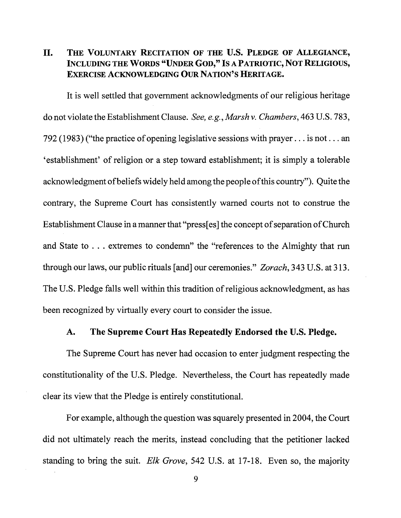# **11. THE VOLUNTARY RECITATION OF THE U.S. PLEDGE OF ALLEGIANCE, INCLUDING THE WORDS "UNDER GOD," IS A PATRIOTIC, NOT RELIGIOUS, EXERCISE ACKNOWLEDGING OUR NATION'S HERITAGE.**

It is well settled that government acknowledgments of our religious heritage do not violate the Establishment Clause. See, e.g., Marsh v. Chambers, 463 U.S. 783, 792 (1983) ("the practice of opening legislative sessions with prayer. . . is not. . . an 'establishment' of religion or a step toward establishment; it is simply a tolerable acknowledgment of beliefs widely held among the people ofthis country"). Quite the contrary, the Supreme Court has consistently warned courts not to construe the Establishment Clause in a manner that "press[es] the concept of separation of Church and State to . . . extremes to condemn" the "references to the Almighty that run through our laws, our public rituals [and] our ceremonies." Zorach, 343 U.S. at 313. The U.S. Pledge falls well within this tradition of religious acknowledgment, as has been recognized by virtually every court to consider the issue.

## **A. The Supreme Court Has Repeatedly Endorsed the U.S. Pledge.**

The Supreme Court has never had occasion to enter judgment respecting the constitutionality of the U.S. Pledge. Nevertheless, the Court has repeatedly made clear its view that the Pledge is entirely constitutional.

For example, although the question was squarely presented in 2004, the Court did not ultimately reach the merits, instead concluding that the petitioner lacked standing to bring the suit. Elk Grove, 542 U.S. at 17-18. Even so, the majority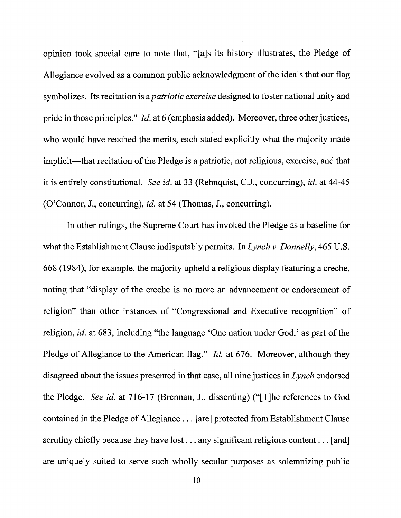opinion took special care to note that, "[als its history illustrates, the Pledge of Allegiance evolved as a common public acknowledgment of the ideals that our flag symbolizes. Its recitation is a *patriotic exercise* designed to foster national unity and pride in those principles." *Id.* at 6 (emphasis added). Moreover, three other justices, who would have reached the merits, each stated explicitly what the majority made implicit—that recitation of the Pledge is a patriotic, not religious, exercise, and that it is entirely constitutional. See id. at 33 (Rehnquist, C.J., concurring), id. at 44-45 (O'Connor, J., concurring), id. at 54 (Thomas, J., concurring).

In other rulings, the Supreme Court has invoked the Pledge as a baseline for what the Establishment Clause indisputably permits. In Lynch v. Donnelly, 465 U.S. 668 (1984), for example, the majority upheld a religious display featuring a creche, noting that "display of the creche is no more an advancement or endorsement of religion" than other instances of "Congressional and Executive recognition" of religion, id. at 683, including "the language 'One nation under God,' as part of the Pledge of Allegiance to the American flag." *Id.* at 676. Moreover, although they disagreed about the issues presented in that case, all nine justices in Lynch endorsed the Pledge. See id. at 716-17 (Brennan, J., dissenting) ("The references to God contained in the Pledge of Allegiance . . . [are] protected from Establishment Clause scrutiny chiefly because they have lost . . . any significant religious content . . . [and] are uniquely suited to serve such wholly secular purposes as solemnizing public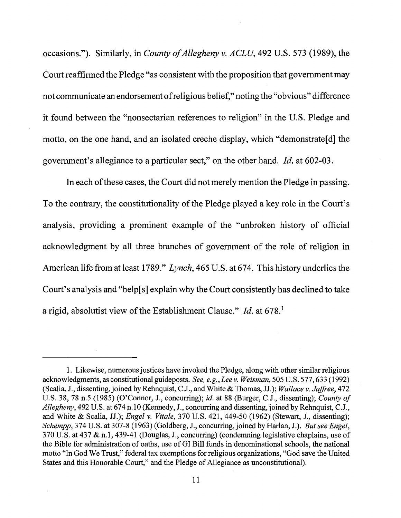occasions."). Similarly, in County of Allegheny v. ACLU, 492 U.S. 573 (1989), the Court reaffirmed the Pledge "as consistent with the proposition that government may not communicate an endorsement of religious belief," noting the "obvious" difference it found between the "nonsectarian references to religion" in the U.S. Pledge and motto, on the one hand, and an isolated creche display, which "demonstrate[d] the government's allegiance to a particular sect," on the other hand. *Id.* at 602-03.

In each of these cases, the Court did not merely mention the Pledge in passing. To the contrary, the constitutionality of the Pledge played a key role in the Court's analysis, providing a prominent example of the "unbroken history of official acknowledgment by all three branches of government of the role of religion in American life from at least 1789." Lynch, 465 U.S. at 674. This history underlies the Court's analysis and "help[s] explain why the Court consistently has declined to take a rigid, absolutist view of the Establishment Clause." *Id.* at 678.'

<sup>1.</sup> Likewise, numerous justices have invoked the Pledge, along with other similar religious acknowledgments, as constitutional guideposts. See, e.g., Lee v. Weisman, 505 U.S. 577,633 (1992) (Scalia, J., dissenting, joined by Rehnquist, C.J., and White & Thomas, JJ.); Wallace v. Jaffree, 472 U.S. 38, 78 n.5 (1985) (O'Connor, J., concurring); id. at 88 (Burger, C.J., dissenting); County of Allegheny, 492 U.S. at 674 n.10 (Kennedy, J., concurring and dissenting, joined by Rehnquist, C.J., and White & Scalia, JJ.); Engel v. Vitale, 370 U.S. 421, 449-50 (1962) (Stewart, J., dissenting); Schempp, 374 U.S. at 307-8 (1963) (Goldberg, J., concurring, joined by Harlan, J.). But see Engel, 370 U.S. at 437 & n.l, 439-41 (Douglas, J., concurring) (condemning legislative chaplains, use of the Bible for administration of oaths, use of GI Bill funds in denominational schools, the national motto "In God We Trust," federal tax exemptions for religious organizations, "God save the United States and this Honorable Court," and the Pledge of Allegiance as unconstitutional).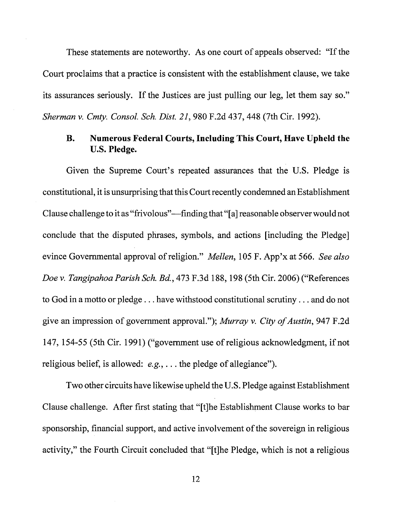These statements are noteworthy. As one court of appeals observed: "If the Court proclaims that a practice is consistent with the establishment clause, we take its assurances seriously. If the Justices are just pulling our leg, let them say so." Sherman v. Cmty. Consol. Sch. Dist. 21,980 F.2d 437,448 (7th Cir. 1992).

# **B. Numerous Federal Courts, Including This Court, Have Upheld the U.S. Pledge.**

Given the Supreme Court's repeated assurances that the U.S. Pledge is constitutional, it is unsurprising that this Court recently condemned an Establishment Clause challenge to it as "frivolous"—finding that "[a] reasonable observer would not conclude that the disputed phrases, symbols, and actions [including the Pledge] evince Governmental approval of religion." Mellen, 105 F. App'x at 566. See also Doe v. Tangipahoa Parish Sch. *Bd.,* 473 F.3d 188,198 (5th Cir. 2006) ("References to God in a motto or pledge . . . have withstood constitutional scrutiny . . . and do not give an impression of government approval."); Murray v. City of Austin, 947 F.2d 147, 154-55 (5th Cir. 1991) ("government use of religious acknowledgment, if not religious belief, is allowed: e.g., . . . the pledge of allegiance").

Two other circuits have likewise upheld the U.S. Pledge against Establishment Clause challenge. After first stating that "[tlhe Establishment Clause works to bar sponsorship, financial support, and active involvement of the sovereign in religious activity," the Fourth Circuit concluded that "[tlhe Pledge, which is not a religious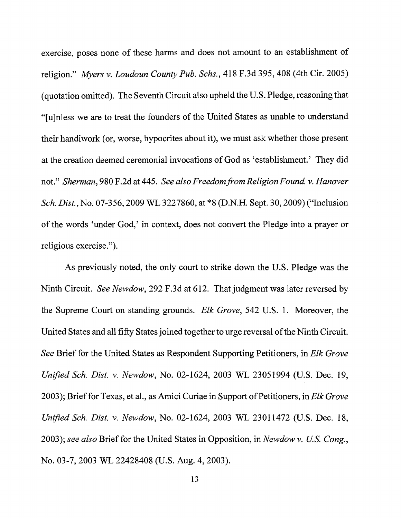exercise, poses none of these harms and does not amount to an establishment of religion." Myers v. Loudoun County Pub. Schs., 418 F.3d 395,408 (4th Cir. 2005) (quotation omitted). The Seventh Circuit also upheld the U.S. Pledge, reasoning that "[u]nless we are to treat the founders of the United States as unable to understand their handiwork (or, worse, hypocrites about it), we must ask whether those present at the creation deemed ceremonial invocations of God as 'establishment.' They did not." Sherman, 980 F.2d at 445. See also Freedom from Religion Found. v. Hanover Sch. Dist., No. 07-356,2009 WL 3227860, at \*8 (D.N.H. Sept. 30,2009) ("Inclusion of the words 'under God,' in context, does not convert the Pledge into a prayer or religious exercise.").

As previously noted, the only court to strike down the U.S. Pledge was the Ninth Circuit. See Newdow, 292 F.3d at 612. That judgment was later reversed by the Supreme Court on standing grounds. Elk Grove, 542 U.S. 1. Moreover, the United States and all **fifty** States joined together to urge reversal of the Ninth Circuit. See Brief for the United States as Respondent Supporting Petitioners, in Elk Grove Unified Sch. Dist. v. Newdow, No. 02-1624, 2003 WL 23051994 (U.S. Dec. 19, 2003); Brief for Texas, et al., as Amici Curiae in Support of Petitioners, in Elk Grove Unified Sch. Dist. v. Newdow, No. 02-1624, 2003 WL 23011472 (U.S. Dec. 18, 2003); see also Brief for the United States in Opposition, in Newdow v. U.S. Cong., No. 03-7,2003 WL 22428408 (U.S. Aug. 4,2003).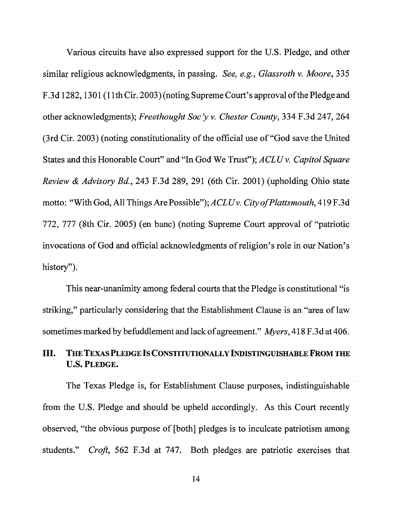Various circuits have also expressed support for the U.S. Pledge, and other similar religious acknowledgments, in passing. See, e.g., Glassroth v. Moore, 335 F.3d 1282, 1301 (11th Cir. 2003) (noting Supreme Court's approval of the Pledge and other acknowledgments); Freethought Soc 'y v. Chester County, 334 F.3d 247,264 (3rd Cir. 2003) (noting constitutionality of the official use of "God save the United States and this Honorable Court" and "In God We Trust"); ACLU v. Capitol Square Review & Advisory Bd., 243 F.3d 289, 291 (6th Cir. 2001) (upholding Ohio state motto: "With God, All Things Are Possible"); ACLUv. City of Plattsmouth, 419 F.3d 772, 777 (8th Cir. 2005) (en banc) (noting Supreme Court approval of "patriotic invocations of God and official acknowledgments of religion's role in our Nation's history").

This near-unanimity among federal courts that the Pledge is constitutional "is striking," particularly considering that the Establishment Clause is an "area of law sometimes marked by befuddlement and lack of agreement." Myers, 4 18 F.3d at 406.

# **111. THE TEXAS PLEDGE ISCONSTITUTIONALLY INDISTINGUISHABLE FROM THE U.S. PLEDGE.**

The Texas Pledge is, for Establishment Clause purposes, indistinguishable from the U.S. Pledge and should be upheld accordingly. As this Court recently observed, "the obvious purpose of [both] pledges is to inculcate patriotism among students." Croft, 562 F.3d at 747. Both pledges are patriotic exercises that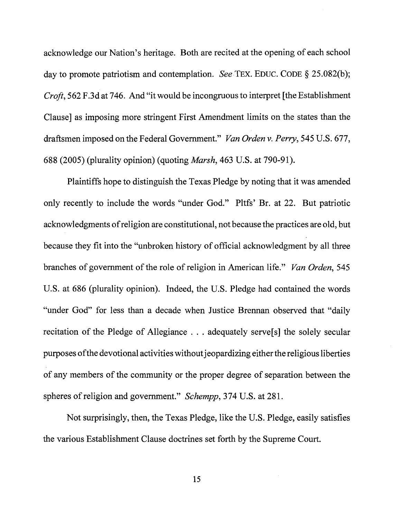acknowledge our Nation's heritage. Both are recited at the opening of each school day to promote patriotism and contemplation. See TEX. EDUC. CODE *5* 25.082(b); Croft, 562 F.3d at 746. And "it would be incongruous to interpret [the Establishment Clause] as imposing more stringent First Amendment limits on the states than the draftsmen imposed on the Federal Government." Van Orden v. Perry, 545 U.S. 677, 688 (2005) (plurality opinion) (quoting Marsh, 463 U.S. at 790-91).

Plaintiffs hope to distinguish the Texas Pledge by noting that it was amended only recently to include the words "under God." Pltfs' Br. at 22. But patriotic acknowledgments of religion are constitutional, not because the practices are old, but because they fit into the "unbroken history of official acknowledgment by all three branches of government of the role of religion in American life." Van Orden, 545 U.S. at 686 (plurality opinion). fndeed, the U.S. Pledge had contained the words "under God" for less than a decade when Justice Brennan observed that "daily recitation of the Pledge of Allegiance . . . adequately serve[s] the solely secular purposes ofthe devotional activities without jeopardizing either the religious liberties of any members of the community or the proper degree of separation between the spheres of religion and government." *Schempp*, 374 U.S. at 281.

Not surprisingly, then, the Texas Pledge, like the U.S. Pledge, easily satisfies the various Establishment Clause doctrines set forth by the Supreme Court.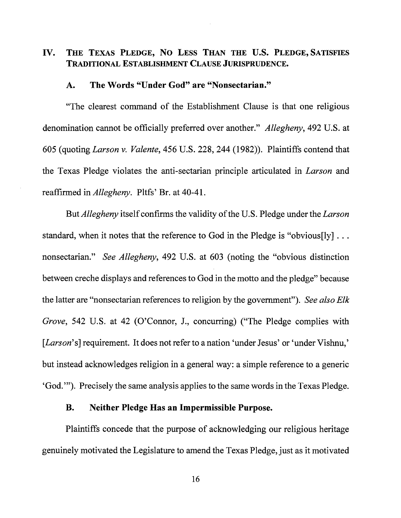# **IV. THE TEXAS PLEDGE, NO LESS THAN THE U.S. PLEDGE, SATISFIES TRADITIONAL ESTABLISHMENT CLAUSE JURISPRUDENCE.**

### **A. The Words "Under God" are "Nonsectarian."**

"The clearest command of the Establishment Clause is that one religious denomination cannot be officially preferred over another." Allegheny, 492 U.S. at 605 (quoting Larson v. Valente, 456 U.S. 228,244 (1982)). Plaintiffs contend that the Texas Pledge violates the anti-sectarian principle articulated in Larson and reaffirmed in *Allegheny*. Pltfs' Br. at 40-41.

But *Allegheny* itself confirms the validity of the U.S. Pledge under the *Larson* standard, when it notes that the reference to God in the Pledge is "obvious[ly] . . . nonsectarian." See Allegheny, 492 U.S. at 603 (noting the "obvious distinction" between creche displays and references to God in the motto and the pledge" because the latter are "nonsectarian references to religion by the government"). See also Elk Grove, 542 U.S. at 42 (O'Connor, J., concurring) ("The Pledge complies with [*Larson*'s] requirement. It does not refer to a nation 'under Jesus' or 'under Vishnu,' but instead acknowledges religion in a general way: a simple reference to a generic 'God."'). Precisely the same analysis applies to the same words in the Texas Pledge.

# **B. Neither Pledge Has an Impermissible Purpose.**

Plaintiffs concede that the purpose of acknowledging our religious heritage genuinely motivated the Legislature to amend the Texas Pledge, just as it motivated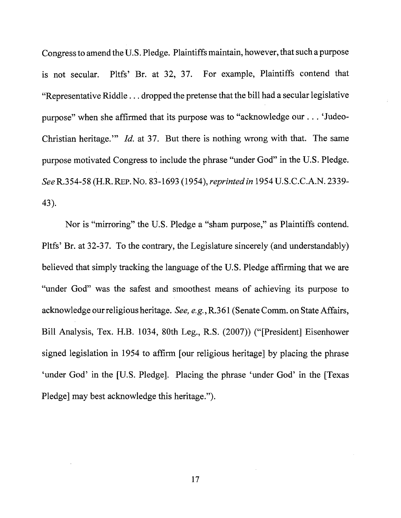Congress to amend the U.S. Pledge. Plaintiffs maintain, however, that such a purpose is not secular. Pltfs' Br. at 32, 37. For example, Plaintiffs contend that "Representative Riddle . . . dropped the pretense that the bill had a secular legislative purpose" when she affirmed that its purpose was to "acknowledge our . . . 'Judeo-Christian heritage."' Id. at 37. But there is nothing wrong with that. The same purpose motivated Congress to include the phrase "under God" in the U.S. Pledge. SeeR.354-58 (H.R. REP.No. 83-1693 (1954), reprinted in 1954 U.S.C.C.A.N. 2339- 43).

Nor is "mirroring" the U.S. Pledge a "sham purpose," as Plaintiffs contend. Pltfs' Br. at 32-37. To the contrary, the Legislature sincerely (and understandably) believed that simply tracking the language of the U.S. Pledge affirming that we are "under God" was the safest and smoothest means of achieving its purpose to acknowledge our religious heritage. See, e.g., R.361 (Senate Comm. on State Affairs, Bill Analysis, Tex. H.B. 1034, 80th Leg., R.S. (2007)) ("[President] Eisenhower signed legislation in 1954 to affirm [our religious heritage] by placing the phrase 'under God' in the [U.S. Pledge]. Placing the phrase 'under God' in the [Texas Pledge] may best acknowledge this heritage.").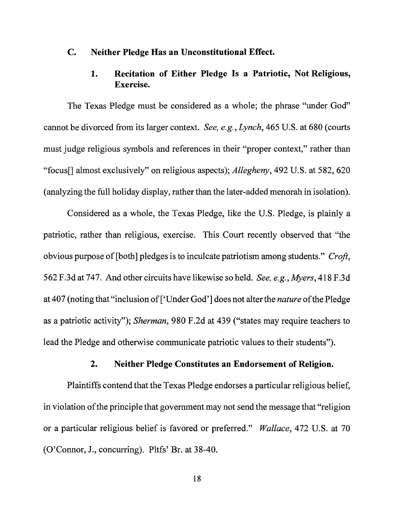# **C. Neither Pledge Has an Unconstitutional Effect.**

# **1 Recitation of Either Pledge Is a Patriotic, Not Religious, Exercise.**

The Texas Pledge must be considered as a whole; the phrase "under God" cannot be divorced fiom its larger context. See, e.g., Lynch, 465 U.S. at 680 (courts must judge religious symbols and references in their "proper context," rather than "focus<sup>[]</sup> almost exclusively" on religious aspects); *Allegheny*, 492 U.S. at 582, 620 (analyzing the full holiday display, rather than the later-added menorah in isolation).

Considered as a whole, the Texas Pledge, like the U.S. Pledge, is plainly a patriotic, rather than religious, exercise. This Court recently observed that "the obvious purpose of [both] pledges is to inculcate patriotism among students." Croft, 562 F.3d at 747. And other circuits have likewise so held. See, e.g., Myers, 418 F.3d at 407 (noting that "inclusion of ['Under God'] does not alter the *nature* of the Pledge as a patriotic activity"); Sherman, 980 F.2d at 439 ("states may require teachers to lead the Pledge and otherwise communicate patriotic values to their students").

### **2. Neither Pledge Constitutes an Endorsement of Religion.**

Plaintiffs contend that the Texas Pledge endorses a particular religious belief, in violation of the principle that government may not send the message that "religion or a particular religious belief is favored or preferred." Wallace, 472 U.S. at 70 (O'Connor, J., concurring). Pltfs' Br. at 38-40.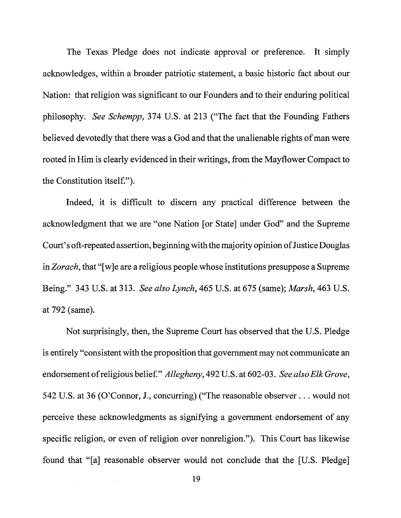The Texas Pledge does not indicate approval or preference. It simply acknowledges, within a broader patriotic statement, a basic historic fact about our Nation: that religion was significant to our Founders and to their enduring political philosophy. See Schempp, **374** U.S. at **213** ("The fact that the Founding Fathers believed devotedly that there was a God and that the unalienable rights of man were rooted in Him is clearly evidenced in their writings, from the Mayflower Compact to the Constitution itself.").

Indeed, it is difficult to discern any practical difference between the acknowledgment that we are "one Nation [or State] under God" and the Supreme Court's oft-repeated assertion, beginning with the majority opinion of Justice Douglas in Zorach, that "[wle are a religious people whose institutions presuppose a Supreme Being." **343** U.S. at **313.** See also Lynch, **465** U.S. at **675** (same); Marsh, **463** U.S. at **792** (same).

Not surprisingly, then, the Supreme Court has observed that the U.S. Pledge is entirely "consistent with the proposition that government may not communicate an endorsement of religious belief." Allegheny, **492** U.S. at **602-03.** See also Elk Grove, **542** U.S. at **36** (O'Connor, J., concurring) ("The reasonable observer. . . would not perceive these acknowledgments as signifying a government endorsement of any specific religion, or even of religion over nonreligion."). This Court has likewise found that "[a] reasonable observer would not conclude that the [U.S. Pledge]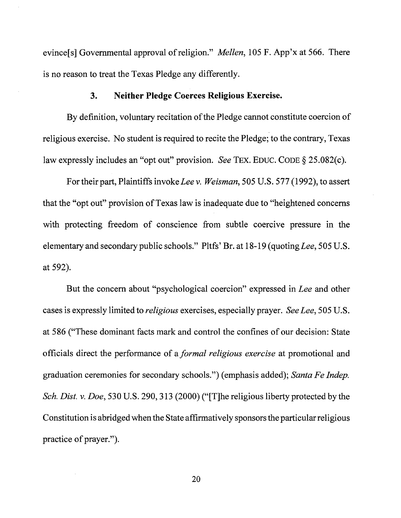evince[s] Governmental approval of religion." *Mellen*, 105 F. App'x at 566. There is no reason to treat the Texas Pledge any differently.

### **3. Neither Pledge Coerces Religious Exercise.**

By definition, voluntary recitation of the Pledge cannot constitute coercion of religious exercise. No student is required to recite the Pledge; to the contrary, Texas law expressly includes an "opt out" provision. See TEX. EDUC. CODE *5* 25.082(c).

For their part, Plaintiffs invoke Lee v. Weisman, 505 U.S. 577 (1992), to assert that the "opt out" provision of Texas law is inadequate due to "heightened concerns with protecting freedom of conscience fiom subtle coercive pressure in the elementary and secondary public schools." Pltfs' Br. at 18- 19 (quoting Lee, 505 U.S. at 592).

But the concern about "psychological coercion" expressed in Lee and other cases is expressly limited to *religious* exercises, especially prayer. See Lee, 505 U.S. at 586 ("These dominant facts mark and control the confines of our decision: State officials direct the performance of a formal religious exercise at promotional and graduation ceremonies for secondary schools.") (emphasis added); Santa Fe Indep. Sch. Dist. v. Doe, 530 U.S. 290, 313 (2000) ("The religious liberty protected by the Constitution is abridged when the State affirmatively sponsors the particular religious practice of prayer.").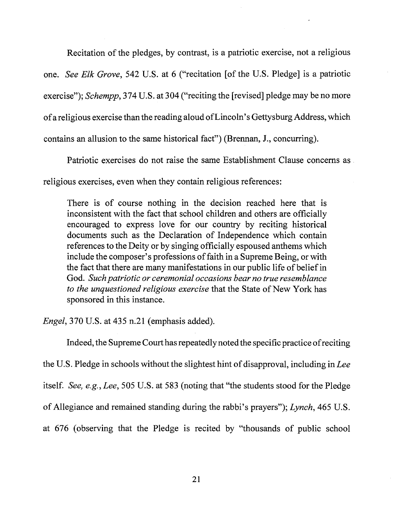Recitation of the pledges, by contrast, is a patriotic exercise, not a religious

one. See Elk Grove, 542 U.S. at 6 ("recitation [of the U.S. Pledge] is a patriotic

exercise"); Schempp, 374 U.S. at 304 ("reciting the [revised] pledge may be no more

of a religious exercise than the reading aloud of Lincoln's Gettysburg Address, which

contains an allusion to the same historical fact") (Brennan, J., concurring).

Patriotic exercises do not raise the same Establishment Clause concerns as

religious exercises, even when they contain religious references:

There is of course nothing in the decision reached here that is inconsistent with the fact that school children and others are officially encouraged to express love for our country by reciting historical documents such as the Declaration of Independence which contain references to the Deity or by singing officially espoused anthems which include the composer's professions of faith in a Supreme Being, or with the fact that there are many manifestations in our public life of belief in God. Such patriotic or ceremonial occasions bear no true resemblance to the unquestioned religious exercise that the State of New York has sponsored in this instance.

Engel, 370 U.S. at 435 n.21 (emphasis added).

Indeed, the Supreme Court has repeatedly noted the specific practice of reciting the U.S. Pledge in schools without the slightest hint of disapproval, including in Lee itself. See, e.g., Lee, 505 U.S. at 583 (noting that "the students stood for the Pledge of Allegiance and remained standing during the rabbi's prayers"); Lynch, 465 U.S. at 676 (observing that the Pledge is recited by "thousands of public school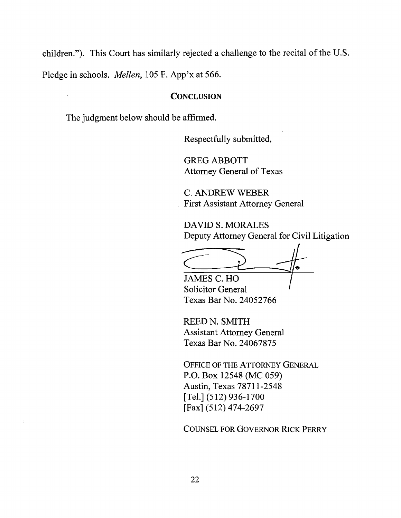children."). This Court has similarly rejected a challenge to the recital of the U.S.

Pledge in schools. Mellen, 105 F. App'x at 566.

### **CONCLUSION**

The judgment below should be affirmed.

Respectfully submitted,

GREG ABBOTT Attorney General of Texas

C. ANDREW WEBER First Assistant Attorney General

DAVID S. MORALES Deputy Attorney General for Civil Litigation

I

#

JAMES C. HO Solicitor General Texas Bar No. 24052766

REED N. SMITH Assistant Attorney General Texas Bar No. 24067875

OFFICE OF THE ATTORNEY GENERAL P.O. Box 12548 (MC 059) Austin, Texas 78711-2548 [Tel.] (512) 936-1700 [Fax] (512) 474-2697

COUNSEL FOR GOVERNOR RICK PERRY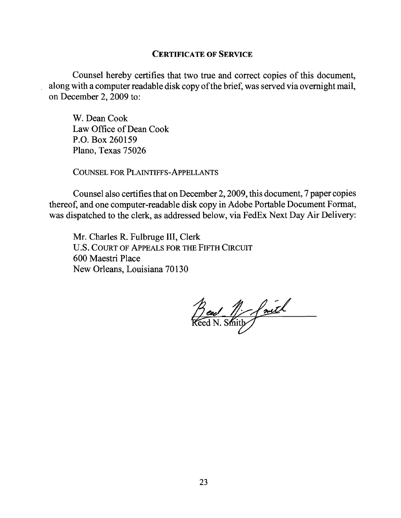### **CERTIFICATE OF SERVICE**

Counsel hereby certifies that two true and correct copies of this document, along with a computer readable disk copy of the brief, was served via overnight mail, on December 2,2009 to:

W. Dean Cook Law Office of Dean Cook P.O. Box 260159 Plano, Texas 75026

COUNSEL FOR PLAINTIFFS-APPELLANTS

Counsel also certifies that on December 2,2009, this document, 7 paper copies thereof, and one computer-readable disk copy in Adobe Portable Document Format, was dispatched to the clerk, as addressed below, via FedEx Next Day Air Delivery:

Mr. Charles R. Fulbruge 111, Clerk **U.S.** COURT OF APPEALS FOR THE FIFTH CIRCUIT 600 Maestri Place New Orleans, Louisiana 70130

Bed 1 faith